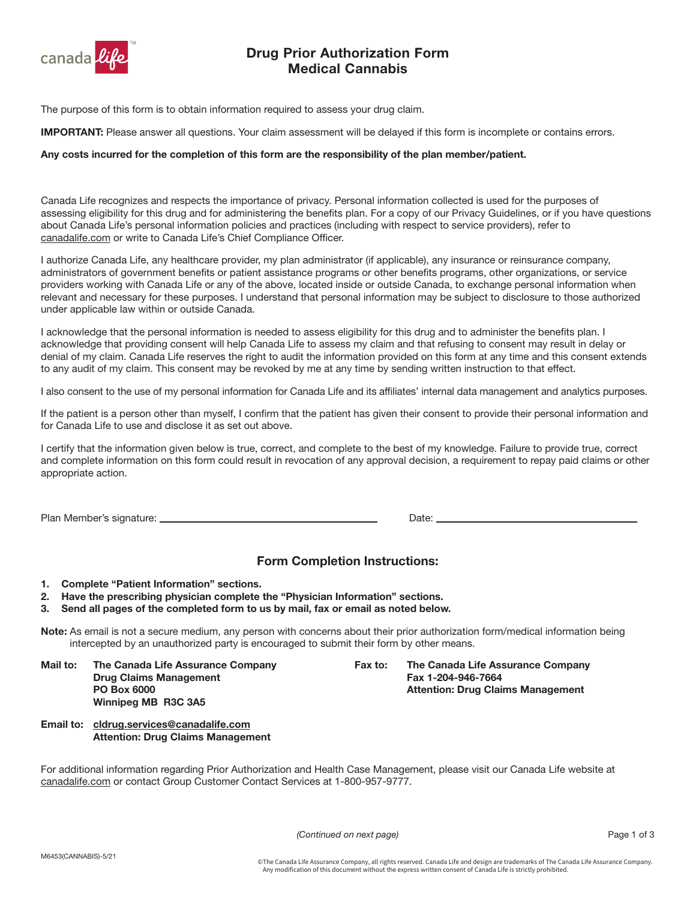

## Drug Prior Authorization Form Medical Cannabis

The purpose of this form is to obtain information required to assess your drug claim.

**IMPORTANT:** Please answer all questions. Your claim assessment will be delayed if this form is incomplete or contains errors.

#### Any costs incurred for the completion of this form are the responsibility of the plan member/patient.

Canada Life recognizes and respects the importance of privacy. Personal information collected is used for the purposes of assessing eligibility for this drug and for administering the benefits plan. For a copy of our Privacy Guidelines, or if you have questions about Canada Life's personal information policies and practices (including with respect to service providers), refer to [canadalife.com](http://canadalife.com) or write to Canada Life's Chief Compliance Officer.

I authorize Canada Life, any healthcare provider, my plan administrator (if applicable), any insurance or reinsurance company, administrators of government benefits or patient assistance programs or other benefits programs, other organizations, or service providers working with Canada Life or any of the above, located inside or outside Canada, to exchange personal information when relevant and necessary for these purposes. I understand that personal information may be subject to disclosure to those authorized under applicable law within or outside Canada.

I acknowledge that the personal information is needed to assess eligibility for this drug and to administer the benefits plan. I acknowledge that providing consent will help Canada Life to assess my claim and that refusing to consent may result in delay or denial of my claim. Canada Life reserves the right to audit the information provided on this form at any time and this consent extends to any audit of my claim. This consent may be revoked by me at any time by sending written instruction to that effect.

I also consent to the use of my personal information for Canada Life and its affiliates' internal data management and analytics purposes.

If the patient is a person other than myself, I confirm that the patient has given their consent to provide their personal information and for Canada Life to use and disclose it as set out above.

I certify that the information given below is true, correct, and complete to the best of my knowledge. Failure to provide true, correct and complete information on this form could result in revocation of any approval decision, a requirement to repay paid claims or other appropriate action.

Plan Member's signature: Date:

### Form Completion Instructions:

- 1. Complete "Patient Information" sections.
- 2. Have the prescribing physician complete the "Physician Information" sections.
- 3. Send all pages of the completed form to us by mail, fax or email as noted below.

Note: As email is not a secure medium, any person with concerns about their prior authorization form/medical information being intercepted by an unauthorized party is encouraged to submit their form by other means.

Mail to: The Canada Life Assurance Company Drug Claims Management PO Box 6000 Winnipeg MB R3C 3A5

- Fax to: The Canada Life Assurance Company Fax 1-204-946-7664 Attention: Drug Claims Management
- Email to: [cldrug.services@canadalife.com](mailto:cldrug.services@canadalife.com) Attention: Drug Claims Management

For additional information regarding Prior Authorization and Health Case Management, please visit our Canada Life website at [canadalife.com](http://canadalife.com) or contact Group Customer Contact Services at 1-800-957-9777.

(Continued on next page) example and the set of 3 and 2 of 3 and 2 of 3 and 2 of 3 and 2 of 3 and 2 of 3 and 2 of 3 and 2 of 3 and 2 of 3 and 2 of 3 and 2 of 3 and 2 of 3 and 2 of 3 and 2 of 3 and 2 of 3 and 2 of 3 and 2 o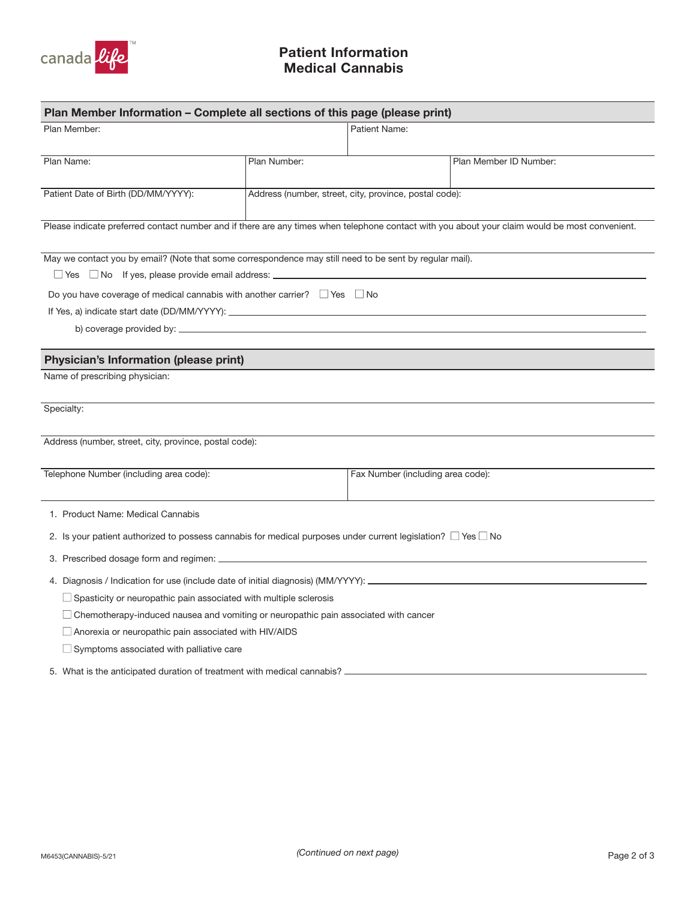

# Medical Cannabis Patient Information

| Plan Member Information - Complete all sections of this page (please print)                                                                              |              |                                                        |                        |  |
|----------------------------------------------------------------------------------------------------------------------------------------------------------|--------------|--------------------------------------------------------|------------------------|--|
| Plan Member:                                                                                                                                             |              | Patient Name:                                          |                        |  |
|                                                                                                                                                          |              |                                                        |                        |  |
| Plan Name:                                                                                                                                               | Plan Number: |                                                        | Plan Member ID Number: |  |
| Patient Date of Birth (DD/MM/YYYY):                                                                                                                      |              | Address (number, street, city, province, postal code): |                        |  |
| Please indicate preferred contact number and if there are any times when telephone contact with you about your claim would be most convenient.           |              |                                                        |                        |  |
|                                                                                                                                                          |              |                                                        |                        |  |
| May we contact you by email? (Note that some correspondence may still need to be sent by regular mail).                                                  |              |                                                        |                        |  |
| $\Box$ Yes $\Box$ No If yes, please provide email address: $\Box$<br>Do you have coverage of medical cannabis with another carrier? $\Box$ Yes $\Box$ No |              |                                                        |                        |  |
|                                                                                                                                                          |              |                                                        |                        |  |
|                                                                                                                                                          |              |                                                        |                        |  |
|                                                                                                                                                          |              |                                                        |                        |  |
| <b>Physician's Information (please print)</b>                                                                                                            |              |                                                        |                        |  |
| Name of prescribing physician:                                                                                                                           |              |                                                        |                        |  |
| Specialty:                                                                                                                                               |              |                                                        |                        |  |
| Address (number, street, city, province, postal code):                                                                                                   |              |                                                        |                        |  |
|                                                                                                                                                          |              |                                                        |                        |  |
| Telephone Number (including area code):                                                                                                                  |              | Fax Number (including area code):                      |                        |  |
| 1. Product Name: Medical Cannabis                                                                                                                        |              |                                                        |                        |  |
| 2. Is your patient authorized to possess cannabis for medical purposes under current legislation? $\Box$ Yes $\Box$ No                                   |              |                                                        |                        |  |
|                                                                                                                                                          |              |                                                        |                        |  |
|                                                                                                                                                          |              |                                                        |                        |  |
| $\Box$ Spasticity or neuropathic pain associated with multiple sclerosis                                                                                 |              |                                                        |                        |  |
| $\Box$ Chemotherapy-induced nausea and vomiting or neuropathic pain associated with cancer                                                               |              |                                                        |                        |  |
| $\Box$ Anorexia or neuropathic pain associated with HIV/AIDS                                                                                             |              |                                                        |                        |  |
| $\Box$ Symptoms associated with palliative care                                                                                                          |              |                                                        |                        |  |
| 5. What is the anticipated duration of treatment with medical cannabis?                                                                                  |              |                                                        |                        |  |